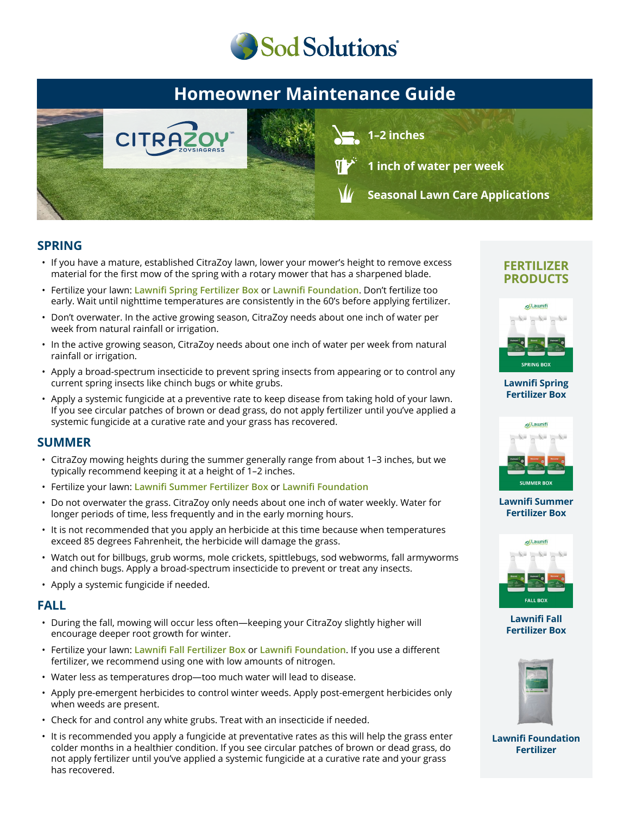

## **Homeowner Maintenance Guide**



**1–2 inches**

**1 inch of water per week**

**Seasonal Lawn Care Applications**

### **SPRING**

- If you have a mature, established CitraZoy lawn, lower your mower's height to remove excess material for the first mow of the spring with a rotary mower that has a sharpened blade.
- Fertilize your lawn: **Lawnifi Spring Fertilizer Box** or **Lawnifi Foundation**. Don't fertilize too early. Wait until nighttime temperatures are consistently in the 60's before applying fertilizer.
- Don't overwater. In the active growing season, CitraZoy needs about one inch of water per week from natural rainfall or irrigation.
- In the active growing season, CitraZoy needs about one inch of water per week from natural rainfall or irrigation.
- Apply a broad-spectrum insecticide to prevent spring insects from appearing or to control any current spring insects like chinch bugs or white grubs.
- Apply a systemic fungicide at a preventive rate to keep disease from taking hold of your lawn. If you see circular patches of brown or dead grass, do not apply fertilizer until you've applied a systemic fungicide at a curative rate and your grass has recovered.

### **SUMMER**

- CitraZoy mowing heights during the summer generally range from about 1–3 inches, but we typically recommend keeping it at a height of 1–2 inches.
- Fertilize your lawn: **Lawnifi Summer Fertilizer Box** or **Lawnifi Foundation**
- Do not overwater the grass. CitraZoy only needs about one inch of water weekly. Water for longer periods of time, less frequently and in the early morning hours.
- It is not recommended that you apply an herbicide at this time because when temperatures exceed 85 degrees Fahrenheit, the herbicide will damage the grass.
- Watch out for billbugs, grub worms, mole crickets, spittlebugs, sod webworms, fall armyworms and chinch bugs. Apply a broad-spectrum insecticide to prevent or treat any insects.
- Apply a systemic fungicide if needed.

### **FALL**

- During the fall, mowing will occur less often—keeping your CitraZoy slightly higher will encourage deeper root growth for winter.
- Fertilize your lawn: **Lawnifi Fall Fertilizer Box** or **Lawnifi Foundation**. If you use a different fertilizer, we recommend using one with low amounts of nitrogen.
- Water less as temperatures drop—too much water will lead to disease.
- Apply pre-emergent herbicides to control winter weeds. Apply post-emergent herbicides only when weeds are present.
- Check for and control any white grubs. Treat with an insecticide if needed.
- It is recommended you apply a fungicide at preventative rates as this will help the grass enter colder months in a healthier condition. If you see circular patches of brown or dead grass, do not apply fertilizer until you've applied a systemic fungicide at a curative rate and your grass has recovered.

### **FERTILIZER PRODUCTS**



#### **[Lawnifi Spring](https://sodsolutions.com/shop/fertilizer/spring-fertilizer-box/) Fertilizer Box**



#### **[Lawnifi Summer](https://sodsolutions.com/shop/fertilizer/summer-fertilizer-box/) Fertilizer Box**



**Lawnifi Fall [Fertilizer Box](https://sodsolutions.com/shop/fertilizer/fall-fertilizer-box/)**



**[Lawnifi Foundation](https://sodsolutions.com/shop/fertilizer/lawnifi-foundation/) Fertilizer**